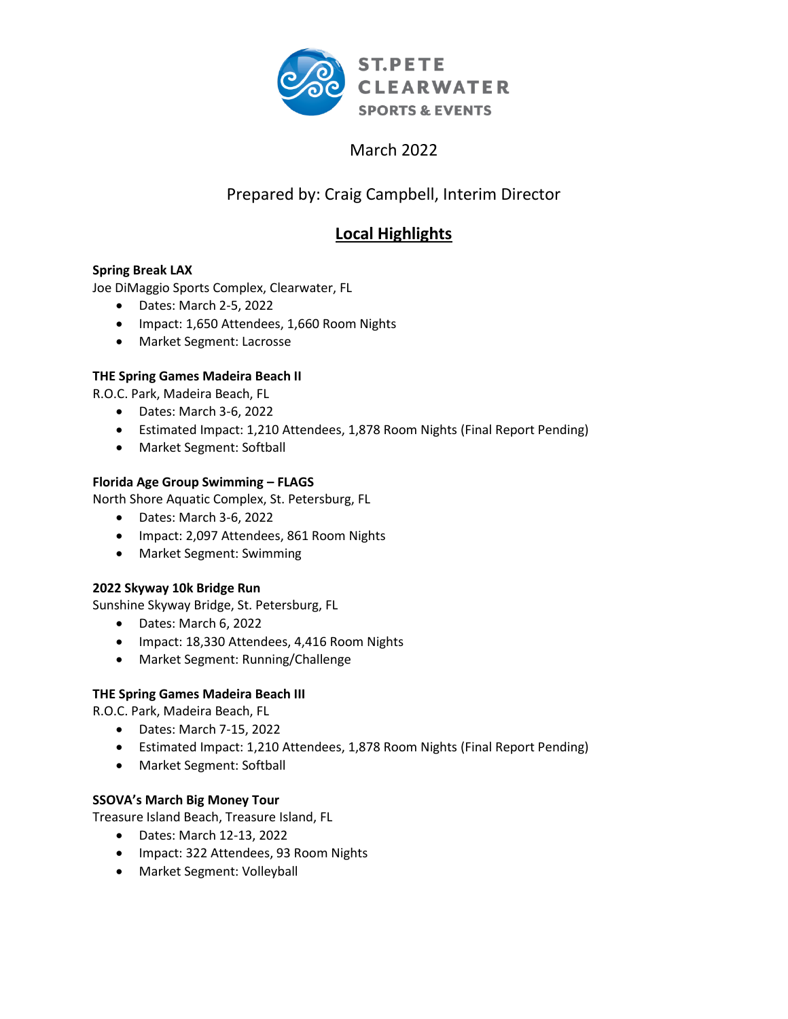

# March 2022

# Prepared by: Craig Campbell, Interim Director

# **Local Highlights**

## **Spring Break LAX**

Joe DiMaggio Sports Complex, Clearwater, FL

- Dates: March 2-5, 2022
- Impact: 1,650 Attendees, 1,660 Room Nights
- Market Segment: Lacrosse

### **THE Spring Games Madeira Beach II**

R.O.C. Park, Madeira Beach, FL

- Dates: March 3-6, 2022
- Estimated Impact: 1,210 Attendees, 1,878 Room Nights (Final Report Pending)
- Market Segment: Softball

### **Florida Age Group Swimming – FLAGS**

North Shore Aquatic Complex, St. Petersburg, FL

- Dates: March 3-6, 2022
- Impact: 2,097 Attendees, 861 Room Nights
- Market Segment: Swimming

### **2022 Skyway 10k Bridge Run**

Sunshine Skyway Bridge, St. Petersburg, FL

- Dates: March 6, 2022
- Impact: 18,330 Attendees, 4,416 Room Nights
- Market Segment: Running/Challenge

### **THE Spring Games Madeira Beach III**

R.O.C. Park, Madeira Beach, FL

- Dates: March 7-15, 2022
- Estimated Impact: 1,210 Attendees, 1,878 Room Nights (Final Report Pending)
- Market Segment: Softball

### **SSOVA's March Big Money Tour**

Treasure Island Beach, Treasure Island, FL

- Dates: March 12-13, 2022
- Impact: 322 Attendees, 93 Room Nights
- Market Segment: Volleyball